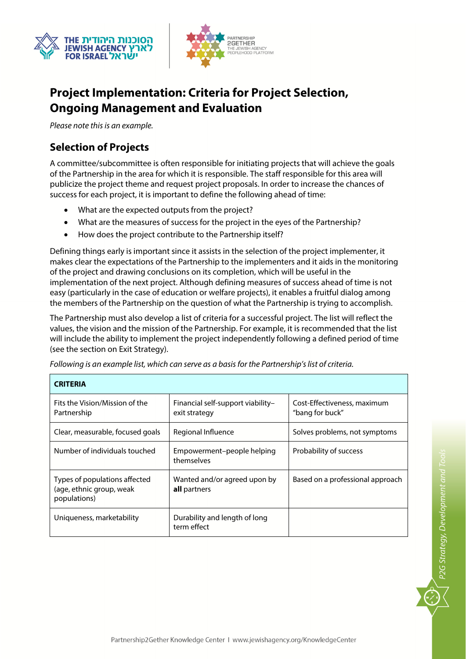



# **Project Implementation: Criteria for Project Selection, Ongoing Management and Evaluation**

Please note this is an example.

# **Selection of Projects**

×

A committee/subcommittee is often responsible for initiating projects that will achieve the goals of the Partnership in the area for which it is responsible. The staff responsible for this area will publicize the project theme and request project proposals. In order to increase the chances of success for each project, it is important to define the following ahead of time:

- What are the expected outputs from the project?
- What are the measures of success for the project in the eyes of the Partnership?
- How does the project contribute to the Partnership itself?

Defining things early is important since it assists in the selection of the project implementer, it makes clear the expectations of the Partnership to the implementers and it aids in the monitoring of the project and drawing conclusions on its completion, which will be useful in the implementation of the next project. Although defining measures of success ahead of time is not easy (particularly in the case of education or welfare projects), it enables a fruitful dialog among the members of the Partnership on the question of what the Partnership is trying to accomplish.

The Partnership must also develop a list of criteria for a successful project. The list will reflect the values, the vision and the mission of the Partnership. For example, it is recommended that the list will include the ability to implement the project independently following a defined period of time (see the section on Exit Strategy).

| <b>CRITERIA</b>                                                           |                                                    |                                                |
|---------------------------------------------------------------------------|----------------------------------------------------|------------------------------------------------|
| Fits the Vision/Mission of the<br>Partnership                             | Financial self-support viability-<br>exit strategy | Cost-Effectiveness, maximum<br>"bang for buck" |
| Clear, measurable, focused goals                                          | Regional Influence                                 | Solves problems, not symptoms                  |
| Number of individuals touched                                             | Empowerment-people helping<br>themselves           | Probability of success                         |
| Types of populations affected<br>(age, ethnic group, weak<br>populations) | Wanted and/or agreed upon by<br>all partners       | Based on a professional approach               |
| Uniqueness, marketability                                                 | Durability and length of long<br>term effect       |                                                |

Following is an example list, which can serve as a basis for the Partnership's list of criteria.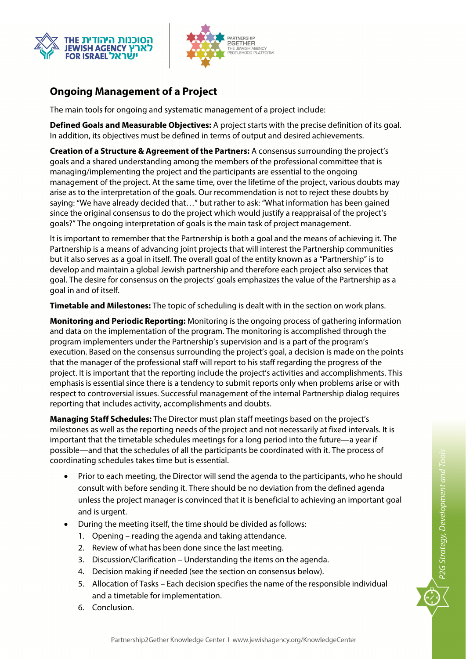



# **Ongoing Management of a Project**

The main tools for ongoing and systematic management of a project include:

**Defined Goals and Measurable Objectives:** A project starts with the precise definition of its goal. In addition, its objectives must be defined in terms of output and desired achievements.

**Creation of a Structure & Agreement of the Partners:** A consensus surrounding the project's goals and a shared understanding among the members of the professional committee that is managing/implementing the project and the participants are essential to the ongoing management of the project. At the same time, over the lifetime of the project, various doubts may arise as to the interpretation of the goals. Our recommendation is not to reject these doubts by saying: "We have already decided that…" but rather to ask: "What information has been gained since the original consensus to do the project which would justify a reappraisal of the project's goals?" The ongoing interpretation of goals is the main task of project management.

It is important to remember that the Partnership is both a goal and the means of achieving it. The Partnership is a means of advancing joint projects that will interest the Partnership communities but it also serves as a goal in itself. The overall goal of the entity known as a "Partnership" is to develop and maintain a global Jewish partnership and therefore each project also services that goal. The desire for consensus on the projects' goals emphasizes the value of the Partnership as a goal in and of itself.

**Timetable and Milestones:** The topic of scheduling is dealt with in the section on work plans.

**Monitoring and Periodic Reporting:** Monitoring is the ongoing process of gathering information and data on the implementation of the program. The monitoring is accomplished through the program implementers under the Partnership's supervision and is a part of the program's execution. Based on the consensus surrounding the project's goal, a decision is made on the points that the manager of the professional staff will report to his staff regarding the progress of the project. It is important that the reporting include the project's activities and accomplishments. This emphasis is essential since there is a tendency to submit reports only when problems arise or with respect to controversial issues. Successful management of the internal Partnership dialog requires reporting that includes activity, accomplishments and doubts.

**Managing Staff Schedules:** The Director must plan staff meetings based on the project's milestones as well as the reporting needs of the project and not necessarily at fixed intervals. It is important that the timetable schedules meetings for a long period into the future—a year if possible—and that the schedules of all the participants be coordinated with it. The process of coordinating schedules takes time but is essential.

 Prior to each meeting, the Director will send the agenda to the participants, who he should consult with before sending it. There should be no deviation from the defined agenda unless the project manager is convinced that it is beneficial to achieving an important goal and is urgent.

P2G Strategy, Development and Tools

- During the meeting itself, the time should be divided as follows:
	- 1. Opening reading the agenda and taking attendance.
	- 2. Review of what has been done since the last meeting.
	- 3. Discussion/Clarification Understanding the items on the agenda.
	- 4. Decision making if needed (see the section on consensus below).
	- 5. Allocation of Tasks Each decision specifies the name of the responsible individual and a timetable for implementation.
	- 6. Conclusion.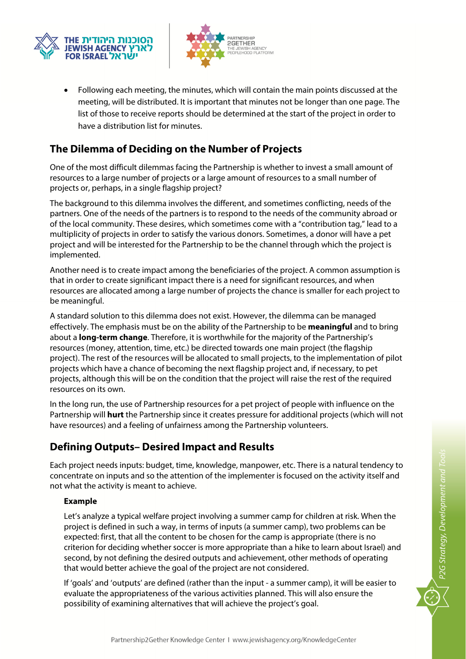



 Following each meeting, the minutes, which will contain the main points discussed at the meeting, will be distributed. It is important that minutes not be longer than one page. The list of those to receive reports should be determined at the start of the project in order to have a distribution list for minutes.

### **The Dilemma of Deciding on the Number of Projects**

One of the most difficult dilemmas facing the Partnership is whether to invest a small amount of resources to a large number of projects or a large amount of resources to a small number of projects or, perhaps, in a single flagship project?

The background to this dilemma involves the different, and sometimes conflicting, needs of the partners. One of the needs of the partners is to respond to the needs of the community abroad or of the local community. These desires, which sometimes come with a "contribution tag," lead to a multiplicity of projects in order to satisfy the various donors. Sometimes, a donor will have a pet project and will be interested for the Partnership to be the channel through which the project is implemented.

Another need is to create impact among the beneficiaries of the project. A common assumption is that in order to create significant impact there is a need for significant resources, and when resources are allocated among a large number of projects the chance is smaller for each project to be meaningful.

A standard solution to this dilemma does not exist. However, the dilemma can be managed effectively. The emphasis must be on the ability of the Partnership to be **meaningful** and to bring about a **long-term change**. Therefore, it is worthwhile for the majority of the Partnership's resources (money, attention, time, etc.) be directed towards one main project (the flagship project). The rest of the resources will be allocated to small projects, to the implementation of pilot projects which have a chance of becoming the next flagship project and, if necessary, to pet projects, although this will be on the condition that the project will raise the rest of the required resources on its own.

In the long run, the use of Partnership resources for a pet project of people with influence on the Partnership will **hurt** the Partnership since it creates pressure for additional projects (which will not have resources) and a feeling of unfairness among the Partnership volunteers.

#### **Defining Outputs– Desired Impact and Results**

Each project needs inputs: budget, time, knowledge, manpower, etc. There is a natural tendency to concentrate on inputs and so the attention of the implementer is focused on the activity itself and not what the activity is meant to achieve.

#### **Example**

Let's analyze a typical welfare project involving a summer camp for children at risk. When the project is defined in such a way, in terms of inputs (a summer camp), two problems can be expected: first, that all the content to be chosen for the camp is appropriate (there is no criterion for deciding whether soccer is more appropriate than a hike to learn about Israel) and second, by not defining the desired outputs and achievement, other methods of operating that would better achieve the goal of the project are not considered.

If 'goals' and 'outputs' are defined (rather than the input - a summer camp), it will be easier to evaluate the appropriateness of the various activities planned. This will also ensure the possibility of examining alternatives that will achieve the project's goal.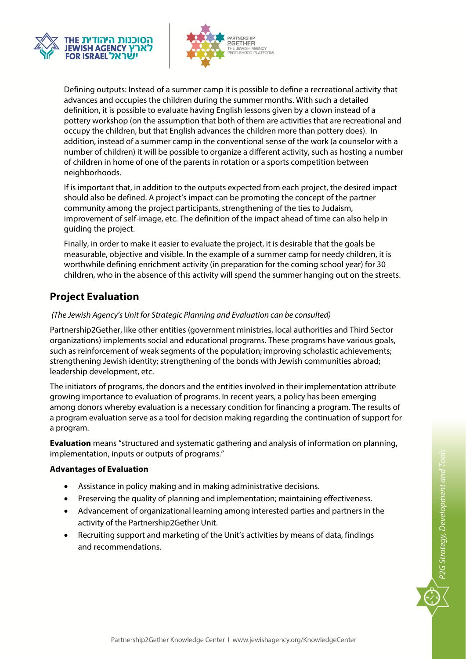



Defining outputs: Instead of a summer camp it is possible to define a recreational activity that advances and occupies the children during the summer months. With such a detailed definition, it is possible to evaluate having English lessons given by a clown instead of a pottery workshop (on the assumption that both of them are activities that are recreational and occupy the children, but that English advances the children more than pottery does). In addition, instead of a summer camp in the conventional sense of the work (a counselor with a number of children) it will be possible to organize a different activity, such as hosting a number of children in home of one of the parents in rotation or a sports competition between neighborhoods.

If is important that, in addition to the outputs expected from each project, the desired impact should also be defined. A project's impact can be promoting the concept of the partner community among the project participants, strengthening of the ties to Judaism, improvement of self-image, etc. The definition of the impact ahead of time can also help in guiding the project.

Finally, in order to make it easier to evaluate the project, it is desirable that the goals be measurable, objective and visible. In the example of a summer camp for needy children, it is worthwhile defining enrichment activity (in preparation for the coming school year) for 30 children, who in the absence of this activity will spend the summer hanging out on the streets.

### **Project Evaluation**

#### (The Jewish Agency's Unit for Strategic Planning and Evaluation can be consulted)

Partnership2Gether, like other entities (government ministries, local authorities and Third Sector organizations) implements social and educational programs. These programs have various goals, such as reinforcement of weak segments of the population; improving scholastic achievements; strengthening Jewish identity; strengthening of the bonds with Jewish communities abroad; leadership development, etc.

The initiators of programs, the donors and the entities involved in their implementation attribute growing importance to evaluation of programs. In recent years, a policy has been emerging among donors whereby evaluation is a necessary condition for financing a program. The results of a program evaluation serve as a tool for decision making regarding the continuation of support for a program.

**Evaluation** means "structured and systematic gathering and analysis of information on planning, implementation, inputs or outputs of programs."

#### **Advantages of Evaluation**

- Assistance in policy making and in making administrative decisions.
- Preserving the quality of planning and implementation; maintaining effectiveness.
- Advancement of organizational learning among interested parties and partners in the activity of the Partnership2Gether Unit.
- Recruiting support and marketing of the Unit's activities by means of data, findings and recommendations.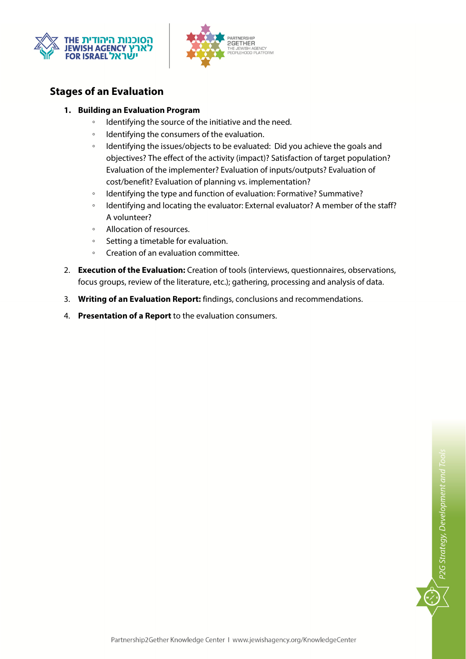



### **Stages of an Evaluation**

#### **1. Building an Evaluation Program**

- Identifying the source of the initiative and the need.
- Identifying the consumers of the evaluation.
- Identifying the issues/objects to be evaluated: Did you achieve the goals and objectives? The effect of the activity (impact)? Satisfaction of target population? Evaluation of the implementer? Evaluation of inputs/outputs? Evaluation of cost/benefit? Evaluation of planning vs. implementation?
- Identifying the type and function of evaluation: Formative? Summative?
- Identifying and locating the evaluator: External evaluator? A member of the staff? A volunteer?
- Allocation of resources.
- Setting a timetable for evaluation.
- Creation of an evaluation committee.
- 2. **Execution of the Evaluation:** Creation of tools (interviews, questionnaires, observations, focus groups, review of the literature, etc.); gathering, processing and analysis of data.
- 3. **Writing of an Evaluation Report:** findings, conclusions and recommendations.
- 4. **Presentation of a Report** to the evaluation consumers.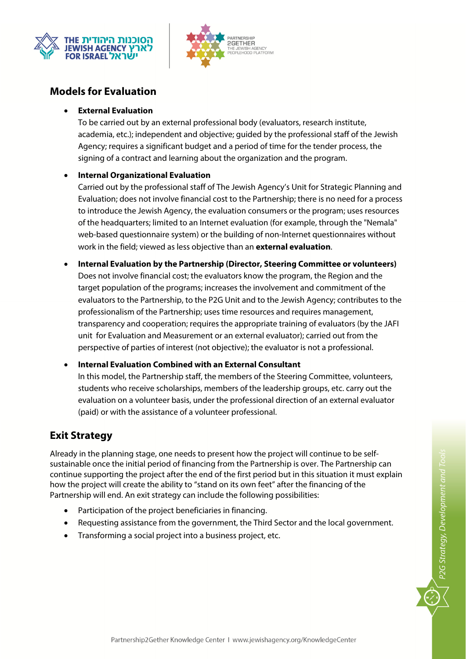



### **Models for Evaluation**

#### **External Evaluation**

To be carried out by an external professional body (evaluators, research institute, academia, etc.); independent and objective; guided by the professional staff of the Jewish Agency; requires a significant budget and a period of time for the tender process, the signing of a contract and learning about the organization and the program.

#### **Internal Organizational Evaluation**

Carried out by the professional staff of The Jewish Agency's Unit for Strategic Planning and Evaluation; does not involve financial cost to the Partnership; there is no need for a process to introduce the Jewish Agency, the evaluation consumers or the program; uses resources of the headquarters; limited to an Internet evaluation (for example, through the "Nemala" web-based questionnaire system) or the building of non-Internet questionnaires without work in the field; viewed as less objective than an **external evaluation**.

 **Internal Evaluation by the Partnership (Director, Steering Committee or volunteers)**  Does not involve financial cost; the evaluators know the program, the Region and the target population of the programs; increases the involvement and commitment of the evaluators to the Partnership, to the P2G Unit and to the Jewish Agency; contributes to the professionalism of the Partnership; uses time resources and requires management, transparency and cooperation; requires the appropriate training of evaluators (by the JAFI unit for Evaluation and Measurement or an external evaluator); carried out from the perspective of parties of interest (not objective); the evaluator is not a professional.

#### **Internal Evaluation Combined with an External Consultant**

In this model, the Partnership staff, the members of the Steering Committee, volunteers, students who receive scholarships, members of the leadership groups, etc. carry out the evaluation on a volunteer basis, under the professional direction of an external evaluator (paid) or with the assistance of a volunteer professional.

### **Exit Strategy**

Already in the planning stage, one needs to present how the project will continue to be selfsustainable once the initial period of financing from the Partnership is over. The Partnership can continue supporting the project after the end of the first period but in this situation it must explain how the project will create the ability to "stand on its own feet" after the financing of the Partnership will end. An exit strategy can include the following possibilities:

- Participation of the project beneficiaries in financing.
- Requesting assistance from the government, the Third Sector and the local government.
- Transforming a social project into a business project, etc.